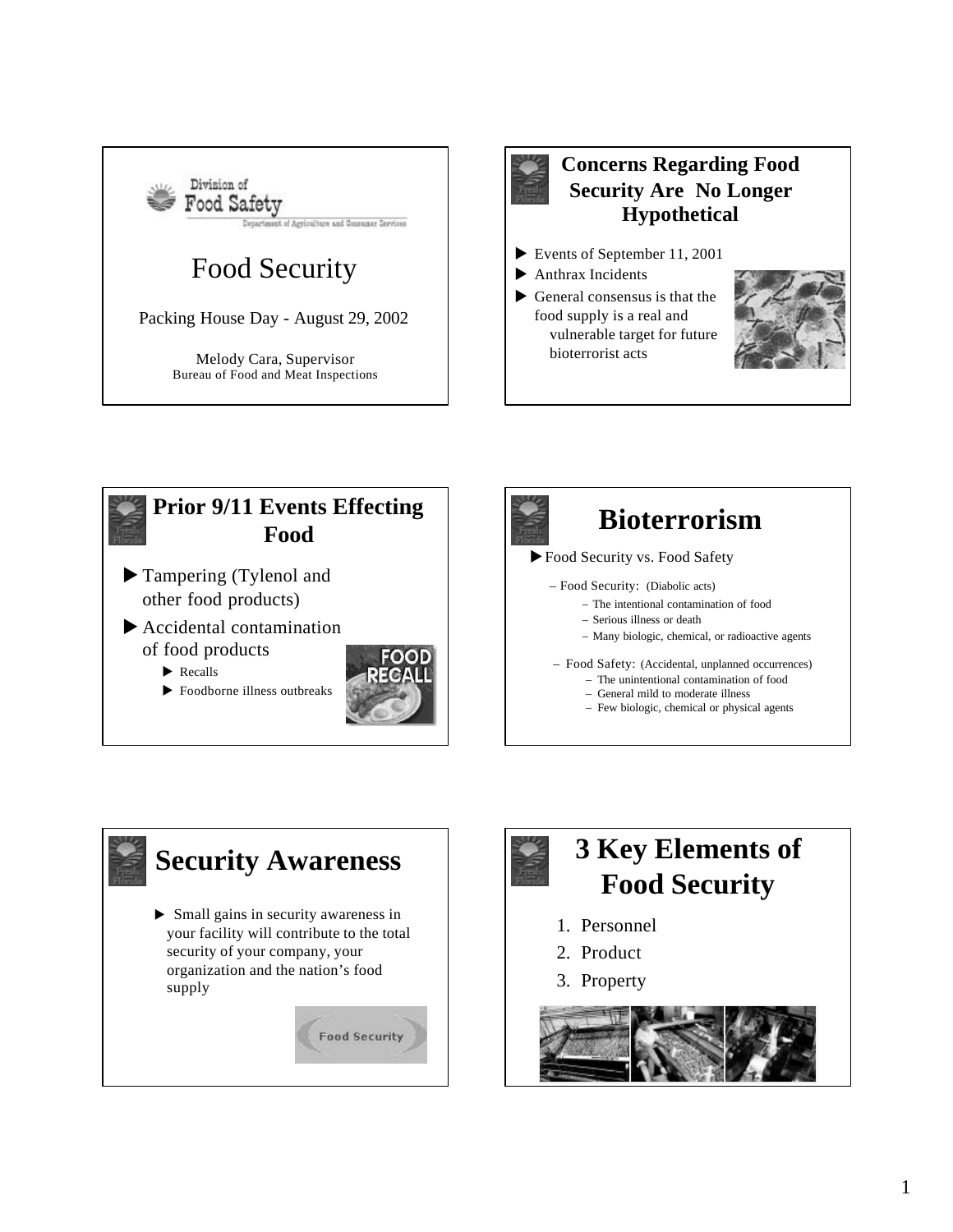



## **Concerns Regarding Food Security Are No Longer Hypothetical**

- Events of September 11, 2001
- $\blacktriangleright$  Anthrax Incidents
- $\blacktriangleright$  General consensus is that the food supply is a real and vulnerable target for future bioterrorist acts





 $\blacktriangleright$  Recalls

 $\blacktriangleright$  Foodborne illness outbreaks





- 
- Food Security: (Diabolic acts)
	- The intentional contamination of food
	- Serious illness or death
	- Many biologic, chemical, or radioactive agents

– Food Safety: (Accidental, unplanned occurrences)

- The unintentional contamination of food
- General mild to moderate illness
- Few biologic, chemical or physical agents



# **3 Key Elements of Food Security**

- 1. Personnel
- 2. Product
- 3. Property

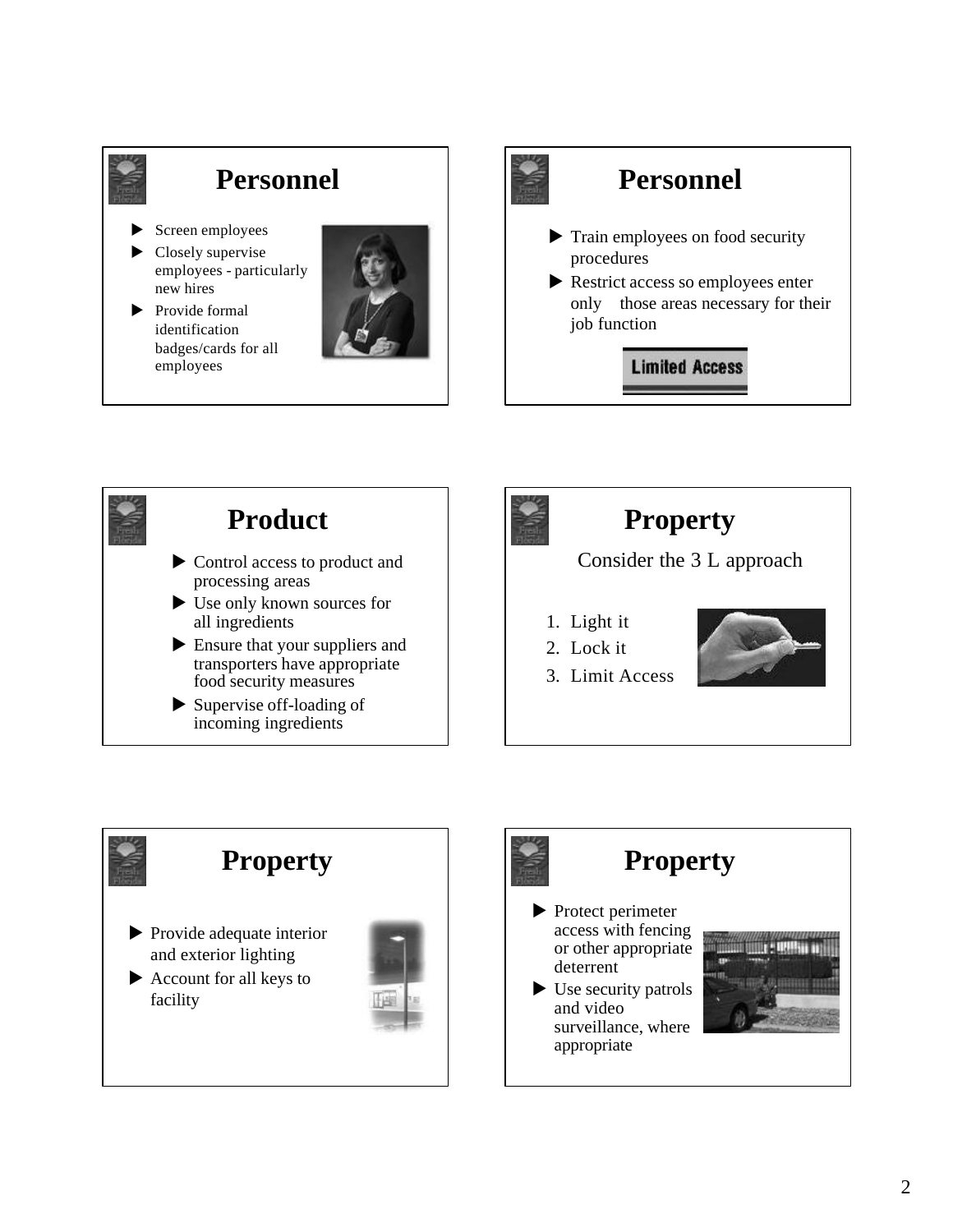

## **Personnel**

- Screen employees
- $\blacktriangleright$  Closely supervise employees - particularly new hires
- $\blacktriangleright$  Provide formal identification badges/cards for all employees





## **Personnel**

- $\blacktriangleright$  Train employees on food security procedures
- $\blacktriangleright$  Restrict access so employees enter only those areas necessary for their job function

**Limited Access** 



## **Product**

- $\triangleright$  Control access to product and processing areas
- $\blacktriangleright$  Use only known sources for all ingredients
- $\blacktriangleright$  Ensure that your suppliers and transporters have appropriate food security measures
- $\blacktriangleright$  Supervise of f-loading of incoming ingredients



## **Property**

#### Consider the 3 L approach

- 1. Light it
- 2. Lock it



3. Limit Access





## **Property**

 $\blacktriangleright$  Protect perimeter access with fencing or other appropriate deterrent

 $\blacktriangleright$  Use security patrols and video surveillance, where appropriate

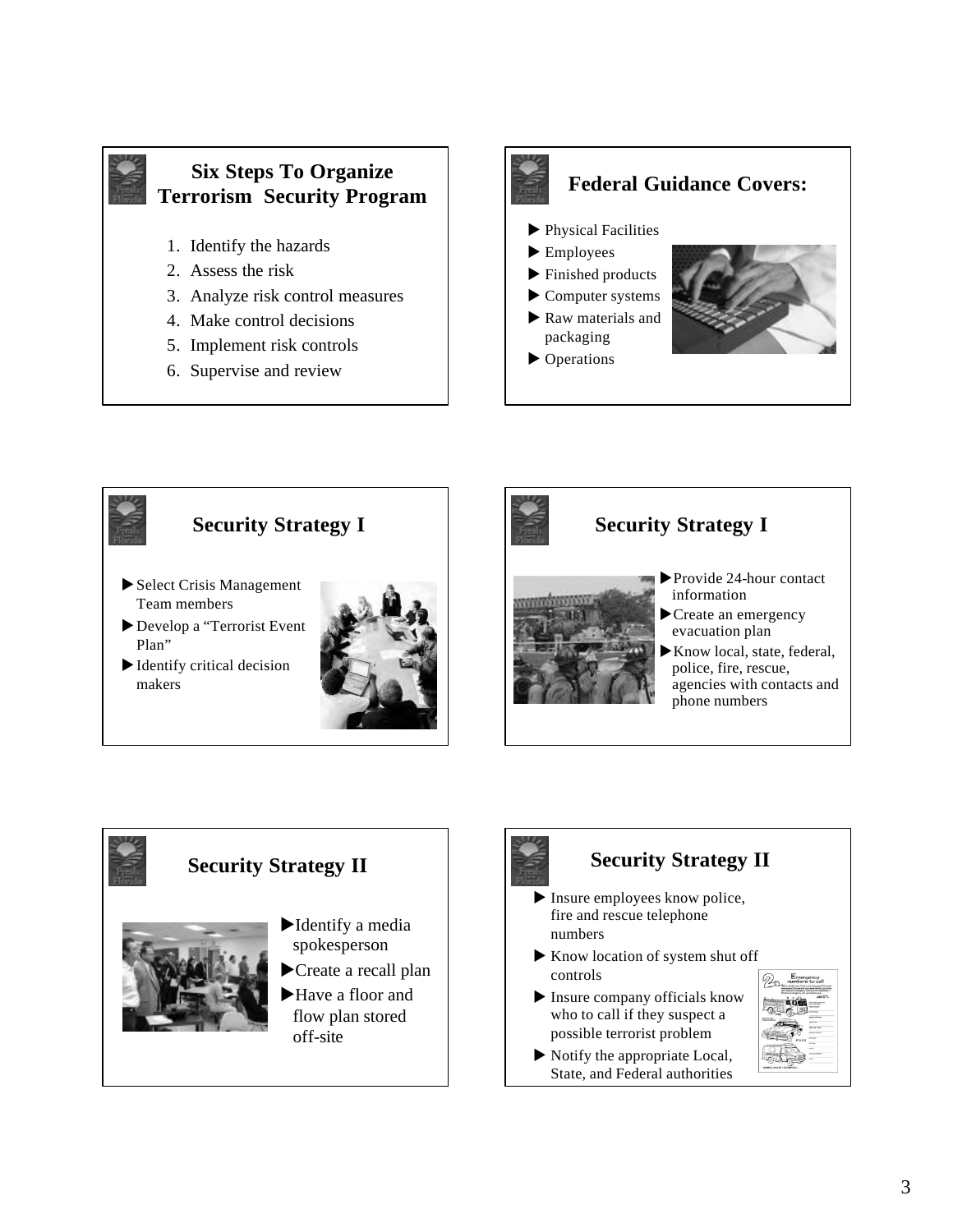

## **Six Steps To Organize Terrorism Security Program**

- 1. Identify the hazards
- 2. Assess the risk
- 3. Analyze risk control measures
- 4. Make control decisions
- 5. Implement risk controls
- 6. Supervise and review











## **Security Strategy II**

- $\blacktriangleright$  Insure employees know police, fire and rescue telephone numbers
- $\blacktriangleright$  Know location of system shut off controls
- $\blacktriangleright$  Insure company officials know who to call if they suspect a possible terrorist problem
- $\blacktriangleright$  Notify the appropriate Local, State, and Federal authorities